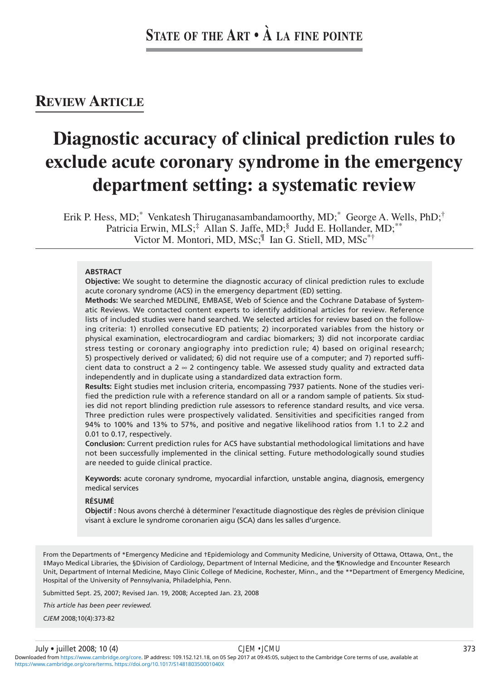# **REVIEW ARTICLE**

# **Diagnostic accuracy of clinical prediction rules to exclude acute coronary syndrome in the emergency department setting: a systematic review**

Erik P. Hess, MD;<sup>\*</sup> Venkatesh Thiruganasambandamoorthy, MD;<sup>\*</sup> George A. Wells, PhD;<sup>†</sup> Patricia Erwin, MLS;<sup>‡</sup> Allan S. Jaffe, MD;<sup>§</sup> Judd E. Hollander, MD;<sup>\*\*</sup> Victor M. Montori, MD, MSc;<sup>II</sup> Ian G. Stiell, MD, MSc<sup>\*†</sup>

#### **ABSTRACT**

**Objective:** We sought to determine the diagnostic accuracy of clinical prediction rules to exclude acute coronary syndrome (ACS) in the emergency department (ED) setting.

**Methods:** We searched MEDLINE, EMBASE, Web of Science and the Cochrane Database of Systematic Reviews. We contacted content experts to identify additional articles for review. Reference lists of included studies were hand searched. We selected articles for review based on the following criteria: 1) enrolled consecutive ED patients; 2) incorporated variables from the history or physical examination, electrocardiogram and cardiac biomarkers; 3) did not incorporate cardiac stress testing or coronary angiography into prediction rule; 4) based on original research; 5) prospectively derived or validated; 6) did not require use of a computer; and 7) reported sufficient data to construct a  $2 \approx 2$  contingency table. We assessed study quality and extracted data independently and in duplicate using a standardized data extraction form.

**Results:** Eight studies met inclusion criteria, encompassing 7937 patients. None of the studies verified the prediction rule with a reference standard on all or a random sample of patients. Six studies did not report blinding prediction rule assessors to reference standard results, and vice versa. Three prediction rules were prospectively validated. Sensitivities and specificities ranged from 94% to 100% and 13% to 57%, and positive and negative likelihood ratios from 1.1 to 2.2 and 0.01 to 0.17, respectively.

**Conclusion:** Current prediction rules for ACS have substantial methodological limitations and have not been successfully implemented in the clinical setting. Future methodologically sound studies are needed to guide clinical practice.

**Keywords:** acute coronary syndrome, myocardial infarction, unstable angina, diagnosis, emergency medical services

# **RÉSUMÉ**

**Objectif :** Nous avons cherché à déterminer l'exactitude diagnostique des règles de prévision clinique visant à exclure le syndrome coronarien aigu (SCA) dans les salles d'urgence.

From the Departments of \*Emergency Medicine and †Epidemiology and Community Medicine, University of Ottawa, Ottawa, Ont., the ‡Mayo Medical Libraries, the §Division of Cardiology, Department of Internal Medicine, and the ¶Knowledge and Encounter Research Unit, Department of Internal Medicine, Mayo Clinic College of Medicine, Rochester, Minn., and the \*\*Department of Emergency Medicine, Hospital of the University of Pennsylvania, Philadelphia, Penn.

Submitted Sept. 25, 2007; Revised Jan. 19, 2008; Accepted Jan. 23, 2008

*This article has been peer reviewed.*

*CJEM* 2008;10(4):373-82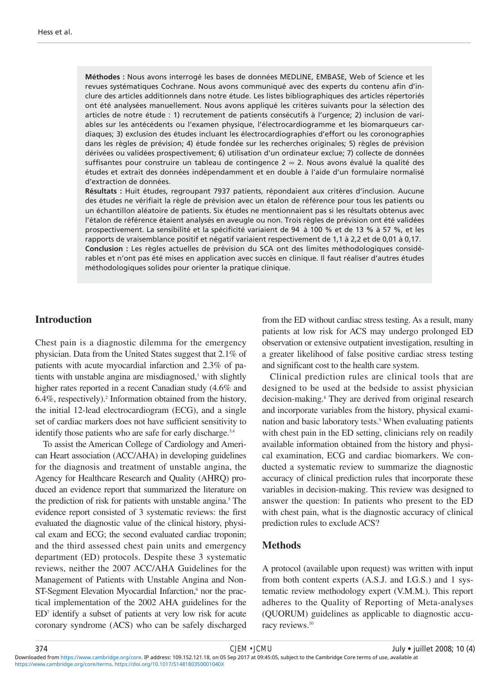**Méthodes :** Nous avons interrogé les bases de données MEDLINE, EMBASE, Web of Science et les revues systématiques Cochrane. Nous avons communiqué avec des experts du contenu afin d'inclure des articles additionnels dans notre étude. Les listes bibliographiques des articles répertoriés ont été analysées manuellement. Nous avons appliqué les critères suivants pour la sélection des articles de notre étude : 1) recrutement de patients consécutifs à l'urgence; 2) inclusion de variables sur les antécédents ou l'examen physique, l'électrocardiogramme et les biomarqueurs cardiaques; 3) exclusion des études incluant les électrocardiographies d'effort ou les coronographies dans les règles de prévision; 4) étude fondée sur les recherches originales; 5) règles de prévision dérivées ou validées prospectivement; 6) utilisation d'un ordinateur exclue; 7) collecte de données suffisantes pour construire un tableau de contingence 2 ∞ 2. Nous avons évalué la qualité des études et extrait des données indépendamment et en double à l'aide d'un formulaire normalisé d'extraction de données.

**Résultats :** Huit études, regroupant 7937 patients, répondaient aux critères d'inclusion. Aucune des études ne vérifiait la règle de prévision avec un étalon de référence pour tous les patients ou un échantillon aléatoire de patients. Six études ne mentionnaient pas si les résultats obtenus avec l'étalon de référence étaient analysés en aveugle ou non. Trois règles de prévision ont été validées prospectivement. La sensibilité et la spécificité variaient de 94 à 100 % et de 13 % à 57 %, et les rapports de vraisemblance positif et négatif variaient respectivement de 1,1 à 2,2 et de 0,01 à 0,17. **Conclusion :** Les règles actuelles de prévision du SCA ont des limites méthodologiques considérables et n'ont pas été mises en application avec succès en clinique. Il faut réaliser d'autres études méthodologiques solides pour orienter la pratique clinique.

# **Introduction**

Chest pain is a diagnostic dilemma for the emergency physician. Data from the United States suggest that 2.1% of patients with acute myocardial infarction and 2.3% of patients with unstable angina are misdiagnosed,<sup>1</sup> with slightly higher rates reported in a recent Canadian study (4.6% and 6.4%, respectively).2 Information obtained from the history, the initial 12-lead electrocardiogram (ECG), and a single set of cardiac markers does not have sufficient sensitivity to identify those patients who are safe for early discharge.<sup>3,4</sup>

To assist the American College of Cardiology and American Heart association (ACC/AHA) in developing guidelines for the diagnosis and treatment of unstable angina, the Agency for Healthcare Research and Quality (AHRQ) produced an evidence report that summarized the literature on the prediction of risk for patients with unstable angina.<sup>5</sup> The evidence report consisted of 3 systematic reviews: the first evaluated the diagnostic value of the clinical history, physical exam and ECG; the second evaluated cardiac troponin; and the third assessed chest pain units and emergency department (ED) protocols. Despite these 3 systematic reviews, neither the 2007 ACC/AHA Guidelines for the Management of Patients with Unstable Angina and Non-ST-Segment Elevation Myocardial Infarction,<sup>6</sup> nor the practical implementation of the 2002 AHA guidelines for the ED7 identify a subset of patients at very low risk for acute coronary syndrome (ACS) who can be safely discharged

from the ED without cardiac stress testing. As a result, many patients at low risk for ACS may undergo prolonged ED observation or extensive outpatient investigation, resulting in a greater likelihood of false positive cardiac stress testing and significant cost to the health care system.

Clinical prediction rules are clinical tools that are designed to be used at the bedside to assist physician decision-making.<sup>8</sup> They are derived from original research and incorporate variables from the history, physical examination and basic laboratory tests.<sup>9</sup> When evaluating patients with chest pain in the ED setting, clinicians rely on readily available information obtained from the history and physical examination, ECG and cardiac biomarkers. We conducted a systematic review to summarize the diagnostic accuracy of clinical prediction rules that incorporate these variables in decision-making. This review was designed to answer the question: In patients who present to the ED with chest pain, what is the diagnostic accuracy of clinical prediction rules to exclude ACS?

### **Methods**

A protocol (available upon request) was written with input from both content experts (A.S.J. and I.G.S.) and 1 systematic review methodology expert (V.M.M.). This report adheres to the Quality of Reporting of Meta-analyses (QUORUM) guidelines as applicable to diagnostic accuracy reviews.<sup>10</sup>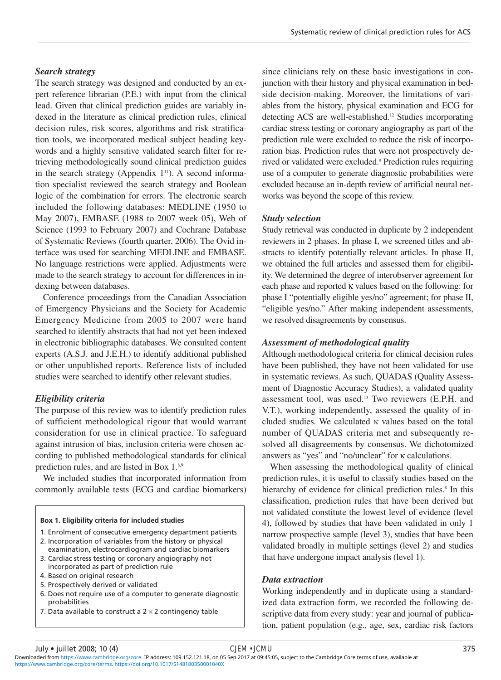## *Search strategy*

The search strategy was designed and conducted by an expert reference librarian (P.E.) with input from the clinical lead. Given that clinical prediction guides are variably indexed in the literature as clinical prediction rules, clinical decision rules, risk scores, algorithms and risk stratification tools, we incorporated medical subject heading keywords and a highly sensitive validated search filter for retrieving methodologically sound clinical prediction guides in the search strategy (Appendix  $1<sup>11</sup>$ ). A second information specialist reviewed the search strategy and Boolean logic of the combination for errors. The electronic search included the following databases: MEDLINE (1950 to May 2007), EMBASE (1988 to 2007 week 05), Web of Science (1993 to February 2007) and Cochrane Database of Systematic Reviews (fourth quarter, 2006). The Ovid interface was used for searching MEDLINE and EMBASE. No language restrictions were applied. Adjustments were made to the search strategy to account for differences in indexing between databases.

Conference proceedings from the Canadian Association of Emergency Physicians and the Society for Academic Emergency Medicine from 2005 to 2007 were hand searched to identify abstracts that had not yet been indexed in electronic bibliographic databases. We consulted content experts (A.S.J. and J.E.H.) to identify additional published or other unpublished reports. Reference lists of included studies were searched to identify other relevant studies.

# *Eligibility criteria*

The purpose of this review was to identify prediction rules of sufficient methodological rigour that would warrant consideration for use in clinical practice. To safeguard against intrusion of bias, inclusion criteria were chosen according to published methodological standards for clinical prediction rules, and are listed in Box 1.<sup>8,9</sup>

We included studies that incorporated information from commonly available tests (ECG and cardiac biomarkers)

#### **Box 1. Eligibility criteria for included studies**

- 1. Enrolment of consecutive emergency department patients
- 2. Incorporation of variables from the history or physical examination, electrocardiogram and cardiac biomarkers
- 3. Cardiac stress testing or coronary angiography not incorporated as part of prediction rule
- 4. Based on original research
- 5. Prospectively derived or validated
- 6. Does not require use of a computer to generate diagnostic probabilities
- 7. Data available to construct a  $2 \times 2$  contingency table

since clinicians rely on these basic investigations in conjunction with their history and physical examination in bedside decision-making. Moreover, the limitations of variables from the history, physical examination and ECG for detecting ACS are well-established.<sup>12</sup> Studies incorporating cardiac stress testing or coronary angiography as part of the prediction rule were excluded to reduce the risk of incorporation bias. Prediction rules that were not prospectively derived or validated were excluded.<sup>9</sup> Prediction rules requiring use of a computer to generate diagnostic probabilities were excluded because an in-depth review of artificial neural networks was beyond the scope of this review.

#### *Study selection*

Study retrieval was conducted in duplicate by 2 independent reviewers in 2 phases. In phase I, we screened titles and abstracts to identify potentially relevant articles. In phase II, we obtained the full articles and assessed them for eligibility. We determined the degree of interobserver agreement for each phase and reported  $\kappa$  values based on the following: for phase I "potentially eligible yes/no" agreement; for phase II, "eligible yes/no." After making independent assessments, we resolved disagreements by consensus.

#### *Assessment of methodological quality*

Although methodological criteria for clinical decision rules have been published, they have not been validated for use in systematic reviews. As such, QUADAS (Quality Assessment of Diagnostic Accuracy Studies), a validated quality assessment tool, was used.13 Two reviewers (E.P.H. and V.T.), working independently, assessed the quality of included studies. We calculated κ values based on the total number of QUADAS criteria met and subsequently resolved all disagreements by consensus. We dichotomized answers as "yes" and "no/unclear" for κ calculations.

When assessing the methodological quality of clinical prediction rules, it is useful to classify studies based on the hierarchy of evidence for clinical prediction rules.<sup>8</sup> In this classification, prediction rules that have been derived but not validated constitute the lowest level of evidence (level 4), followed by studies that have been validated in only 1 narrow prospective sample (level 3), studies that have been validated broadly in multiple settings (level 2) and studies that have undergone impact analysis (level 1).

#### *Data extraction*

Working independently and in duplicate using a standardized data extraction form, we recorded the following descriptive data from every study: year and journal of publication, patient population (e.g., age, sex, cardiac risk factors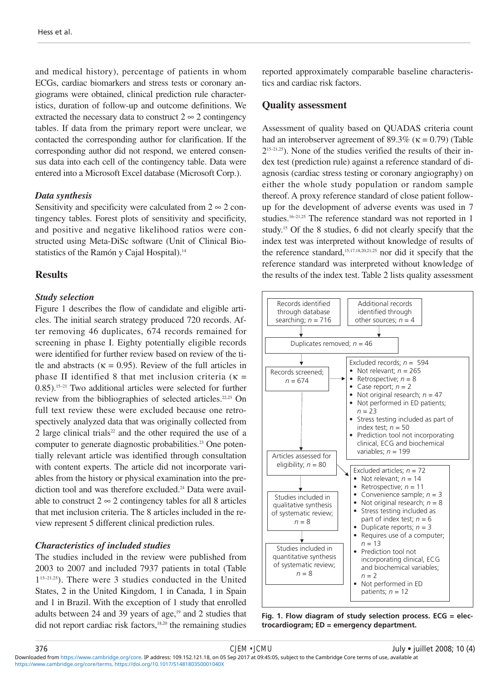and medical history), percentage of patients in whom ECGs, cardiac biomarkers and stress tests or coronary angiograms were obtained, clinical prediction rule characteristics, duration of follow-up and outcome definitions. We extracted the necessary data to construct  $2 \infty 2$  contingency tables. If data from the primary report were unclear, we contacted the corresponding author for clarification. If the corresponding author did not respond, we entered consensus data into each cell of the contingency table. Data were entered into a Microsoft Excel database (Microsoft Corp.).

# *Data synthesis*

Sensitivity and specificity were calculated from  $2 \approx 2$  contingency tables. Forest plots of sensitivity and specificity, and positive and negative likelihood ratios were constructed using Meta-DiSc software (Unit of Clinical Biostatistics of the Ramón y Cajal Hospital).<sup>14</sup>

# **Results**

# *Study selection*

Figure 1 describes the flow of candidate and eligible articles. The initial search strategy produced 720 records. After removing 46 duplicates, 674 records remained for screening in phase I. Eighty potentially eligible records were identified for further review based on review of the title and abstracts ( $\kappa = 0.95$ ). Review of the full articles in phase II identified 8 that met inclusion criteria ( $\kappa$  = 0.85).15–21 Two additional articles were selected for further review from the bibliographies of selected articles.<sup>22,23</sup> On full text review these were excluded because one retrospectively analyzed data that was originally collected from 2 large clinical trials<sup>22</sup> and the other required the use of a computer to generate diagnostic probabilities.<sup>23</sup> One potentially relevant article was identified through consultation with content experts. The article did not incorporate variables from the history or physical examination into the prediction tool and was therefore excluded.<sup>24</sup> Data were available to construct  $2 \infty 2$  contingency tables for all 8 articles that met inclusion criteria. The 8 articles included in the review represent 5 different clinical prediction rules.

# *Characteristics of included studies*

The studies included in the review were published from 2003 to 2007 and included 7937 patients in total (Table 115–21,25). There were 3 studies conducted in the United States, 2 in the United Kingdom, 1 in Canada, 1 in Spain and 1 in Brazil. With the exception of 1 study that enrolled adults between 24 and 39 years of age, $19$  and 2 studies that did not report cardiac risk factors,<sup>18,20</sup> the remaining studies reported approximately comparable baseline characteristics and cardiac risk factors.

# **Quality assessment**

Assessment of quality based on QUADAS criteria count had an interobserver agreement of 89.3% ( $\kappa$  = 0.79) (Table  $2^{15-21,25}$ ). None of the studies verified the results of their index test (prediction rule) against a reference standard of diagnosis (cardiac stress testing or coronary angiography) on either the whole study population or random sample thereof. A proxy reference standard of close patient followup for the development of adverse events was used in 7 studies.<sup>16-21,25</sup> The reference standard was not reported in 1 study.15 Of the 8 studies, 6 did not clearly specify that the index test was interpreted without knowledge of results of the reference standard,<sup>15,17,18,20,21,25</sup> nor did it specify that the reference standard was interpreted without knowledge of the results of the index test. Table 2 lists quality assessment



**Fig. 1. Flow diagram of study selection process. ECG = electrocardiogram; ED = emergency department.**

[https://www.cambridge.org/core/terms.](https://www.cambridge.org/core/terms) <https://doi.org/10.1017/S148180350001040X> Downloaded from [https://www.cambridge.org/core.](https://www.cambridge.org/core) IP address: 109.152.121.18, on 05 Sep 2017 at 09:45:05, subject to the Cambridge Core terms of use, available at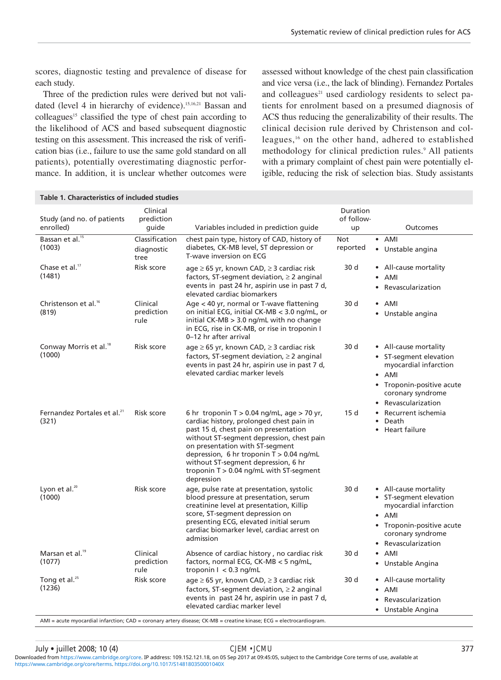scores, diagnostic testing and prevalence of disease for each study.

Three of the prediction rules were derived but not validated (level 4 in hierarchy of evidence).<sup>15,16,21</sup> Bassan and colleagues<sup>15</sup> classified the type of chest pain according to the likelihood of ACS and based subsequent diagnostic testing on this assessment. This increased the risk of verification bias (i.e., failure to use the same gold standard on all patients), potentially overestimating diagnostic performance. In addition, it is unclear whether outcomes were assessed without knowledge of the chest pain classification and vice versa (i.e., the lack of blinding). Fernandez Portales and colleagues<sup>21</sup> used cardiology residents to select patients for enrolment based on a presumed diagnosis of ACS thus reducing the generalizability of their results. The clinical decision rule derived by Christenson and colleagues,16 on the other hand, adhered to established methodology for clinical prediction rules.<sup>9</sup> All patients with a primary complaint of chest pain were potentially eligible, reducing the risk of selection bias. Study assistants

| Table 1. Characteristics of included studies     |                                      |                                                                                                                                                                                                                                                                                                                                                                 |                              |                                                                                                                                                                  |  |  |  |  |
|--------------------------------------------------|--------------------------------------|-----------------------------------------------------------------------------------------------------------------------------------------------------------------------------------------------------------------------------------------------------------------------------------------------------------------------------------------------------------------|------------------------------|------------------------------------------------------------------------------------------------------------------------------------------------------------------|--|--|--|--|
| Study (and no. of patients<br>enrolled)          | Clinical<br>prediction<br>quide      | Variables included in prediction quide                                                                                                                                                                                                                                                                                                                          | Duration<br>of follow-<br>up | Outcomes                                                                                                                                                         |  |  |  |  |
| Bassan et al. <sup>15</sup><br>(1003)            | Classification<br>diagnostic<br>tree | chest pain type, history of CAD, history of<br>diabetes, CK-MB level, ST depression or<br>T-wave inversion on ECG                                                                                                                                                                                                                                               | Not<br>reported              | $\bullet$ AMI<br>• Unstable angina                                                                                                                               |  |  |  |  |
| Chase et al. <sup>17</sup><br>(1481)             | Risk score                           | $age \ge 65$ yr, known CAD, $\ge 3$ cardiac risk<br>factors, ST-segment deviation, $\geq 2$ anginal<br>events in past 24 hr, aspirin use in past 7 d,<br>elevated cardiac biomarkers                                                                                                                                                                            | 30 d                         | • All-cause mortality<br>AMI<br>Revascularization                                                                                                                |  |  |  |  |
| Christenson et al. <sup>16</sup><br>(819)        | Clinical<br>prediction<br>rule       | Age < 40 yr, normal or T-wave flattening<br>on initial ECG, initial CK-MB < 3.0 ng/mL, or<br>initial $CK-MB > 3.0$ ng/mL with no change<br>in ECG, rise in CK-MB, or rise in troponin I<br>0-12 hr after arrival                                                                                                                                                | 30 d                         | $\bullet$ AMI<br>• Unstable angina                                                                                                                               |  |  |  |  |
| Conway Morris et al. <sup>18</sup><br>(1000)     | Risk score                           | $age \geq 65$ yr, known CAD, $\geq 3$ cardiac risk<br>factors, ST-segment deviation, $\geq 2$ anginal<br>events in past 24 hr, aspirin use in past 7 d,<br>elevated cardiac marker levels                                                                                                                                                                       | 30 d                         | • All-cause mortality<br>• ST-segment elevation<br>myocardial infarction<br>$\bullet$ AMI<br>• Troponin-positive acute<br>coronary syndrome<br>Revascularization |  |  |  |  |
| Fernandez Portales et al. <sup>21</sup><br>(321) | Risk score                           | 6 hr troponin T $> 0.04$ ng/mL, age $> 70$ yr,<br>cardiac history, prolonged chest pain in<br>past 15 d, chest pain on presentation<br>without ST-segment depression, chest pain<br>on presentation with ST-segment<br>depression, 6 hr troponin T > 0.04 ng/mL<br>without ST-segment depression, 6 hr<br>troponin T > 0.04 ng/mL with ST-segment<br>depression | 15d                          | Recurrent ischemia<br>Death<br>$\bullet$<br>Heart failure                                                                                                        |  |  |  |  |
| Lyon et al. <sup>20</sup><br>(1000)              | Risk score                           | age, pulse rate at presentation, systolic<br>blood pressure at presentation, serum<br>creatinine level at presentation, Killip<br>score, ST-segment depression on<br>presenting ECG, elevated initial serum<br>cardiac biomarker level, cardiac arrest on<br>admission                                                                                          | 30 d                         | • All-cause mortality<br>• ST-segment elevation<br>myocardial infarction<br>$\bullet$ AMI<br>• Troponin-positive acute<br>coronary syndrome<br>Revascularization |  |  |  |  |
| Marsan et al. <sup>19</sup><br>(1077)            | Clinical<br>prediction<br>rule       | Absence of cardiac history, no cardiac risk<br>factors, normal ECG, CK-MB $<$ 5 ng/mL,<br>troponin $1 < 0.3$ ng/mL                                                                                                                                                                                                                                              | 30 d                         | $\bullet$ AMI<br>• Unstable Angina                                                                                                                               |  |  |  |  |
| Tong et al. <sup>25</sup><br>(1236)              | Risk score                           | $age \geq 65$ yr, known CAD, $\geq 3$ cardiac risk<br>factors, ST-segment deviation, $\geq 2$ anginal<br>events in past 24 hr, aspirin use in past 7 d,<br>elevated cardiac marker level                                                                                                                                                                        | 30 d                         | • All-cause mortality<br>AMI<br>$\bullet$<br>Revascularization<br>• Unstable Angina                                                                              |  |  |  |  |

AMI = acute myocardial infarction; CAD = coronary artery disease; CK-MB = creatine kinase; ECG = electrocardiogram.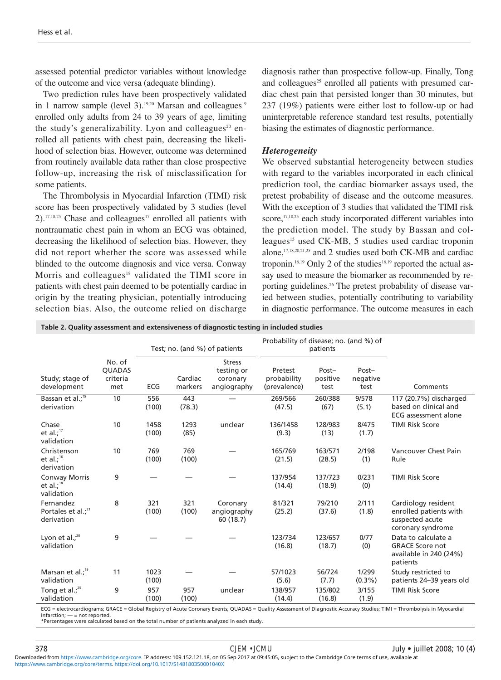assessed potential predictor variables without knowledge of the outcome and vice versa (adequate blinding).

Two prediction rules have been prospectively validated in 1 narrow sample (level 3).<sup>19,20</sup> Marsan and colleagues<sup>19</sup> enrolled only adults from 24 to 39 years of age, limiting the study's generalizability. Lyon and colleagues<sup>20</sup> enrolled all patients with chest pain, decreasing the likelihood of selection bias. However, outcome was determined from routinely available data rather than close prospective follow-up, increasing the risk of misclassification for some patients.

The Thrombolysis in Myocardial Infarction (TIMI) risk score has been prospectively validated by 3 studies (level  $2$ ).<sup>17,18,25</sup> Chase and colleagues<sup>17</sup> enrolled all patients with nontraumatic chest pain in whom an ECG was obtained, decreasing the likelihood of selection bias. However, they did not report whether the score was assessed while blinded to the outcome diagnosis and vice versa. Conway Morris and colleagues<sup>18</sup> validated the TIMI score in patients with chest pain deemed to be potentially cardiac in origin by the treating physician, potentially introducing selection bias. Also, the outcome relied on discharge diagnosis rather than prospective follow-up. Finally, Tong and colleagues<sup>25</sup> enrolled all patients with presumed cardiac chest pain that persisted longer than 30 minutes, but 237 (19%) patients were either lost to follow-up or had uninterpretable reference standard test results, potentially biasing the estimates of diagnostic performance.

# *Heterogeneity*

We observed substantial heterogeneity between studies with regard to the variables incorporated in each clinical prediction tool, the cardiac biomarker assays used, the pretest probability of disease and the outcome measures. With the exception of 3 studies that validated the TIMI risk score,<sup>17,18,25</sup> each study incorporated different variables into the prediction model. The study by Bassan and colleagues<sup>15</sup> used CK-MB, 5 studies used cardiac troponin alone,17,18,20,21,25 and 2 studies used both CK-MB and cardiac troponin.<sup>16,19</sup> Only 2 of the studies<sup>16,19</sup> reported the actual assay used to measure the biomarker as recommended by reporting guidelines.<sup>26</sup> The pretest probability of disease varied between studies, potentially contributing to variability in diagnostic performance. The outcome measures in each

**Table 2. Quality assessment and extensiveness of diagnostic testing in included studies**

|                                                     |                                            |               | Test; no. (and %) of patients |                                                        | Probability of disease; no. (and %) of<br>patients |                           |                           |                                                                                                                                                                                            |
|-----------------------------------------------------|--------------------------------------------|---------------|-------------------------------|--------------------------------------------------------|----------------------------------------------------|---------------------------|---------------------------|--------------------------------------------------------------------------------------------------------------------------------------------------------------------------------------------|
| Study; stage of<br>development                      | No. of<br><b>QUADAS</b><br>criteria<br>met | ECG           | Cardiac<br>markers            | <b>Stress</b><br>testing or<br>coronary<br>angiography | Pretest<br>probability<br>(prevalence)             | Post-<br>positive<br>test | Post-<br>negative<br>test | Comments                                                                                                                                                                                   |
| Bassan et al.; <sup>15</sup><br>derivation          | 10                                         | 556<br>(100)  | 443<br>(78.3)                 |                                                        | 269/566<br>(47.5)                                  | 260/388<br>(67)           | 9/578<br>(5.1)            | 117 (20.7%) discharged<br>based on clinical and<br><b>ECG</b> assessment alone                                                                                                             |
| Chase<br>et al.; $17$<br>validation                 | 10                                         | 1458<br>(100) | 1293<br>(85)                  | unclear                                                | 136/1458<br>(9.3)                                  | 128/983<br>(13)           | 8/475<br>(1.7)            | <b>TIMI Risk Score</b>                                                                                                                                                                     |
| Christenson<br>et al.; $16$<br>derivation           | 10                                         | 769<br>(100)  | 769<br>(100)                  |                                                        | 165/769<br>(21.5)                                  | 163/571<br>(28.5)         | 2/198<br>(1)              | Vancouver Chest Pain<br>Rule                                                                                                                                                               |
| <b>Conway Morris</b><br>et al.; $18$<br>validation  | 9                                          |               |                               |                                                        | 137/954<br>(14.4)                                  | 137/723<br>(18.9)         | 0/231<br>(0)              | <b>TIMI Risk Score</b>                                                                                                                                                                     |
| Fernandez<br>Portales et al.; $^{21}$<br>derivation | 8                                          | 321<br>(100)  | 321<br>(100)                  | Coronary<br>angiography<br>60 (18.7)                   | 81/321<br>(25.2)                                   | 79/210<br>(37.6)          | 2/111<br>(1.8)            | Cardiology resident<br>enrolled patients with<br>suspected acute<br>coronary syndrome                                                                                                      |
| Lyon et al.; $^{20}$<br>validation                  | 9                                          |               |                               |                                                        | 123/734<br>(16.8)                                  | 123/657<br>(18.7)         | 0/77<br>(0)               | Data to calculate a<br><b>GRACE Score not</b><br>available in 240 (24%)<br>patients                                                                                                        |
| Marsan et al.; <sup>19</sup><br>validation          | 11                                         | 1023<br>(100) |                               |                                                        | 57/1023<br>(5.6)                                   | 56/724<br>(7.7)           | 1/299<br>$(0.3\%)$        | Study restricted to<br>patients 24-39 years old                                                                                                                                            |
| Tong et al.; $25$<br>validation                     | 9                                          | 957<br>(100)  | 957<br>(100)                  | unclear                                                | 138/957<br>(14.4)                                  | 135/802<br>(16.8)         | 3/155<br>(1.9)            | <b>TIMI Risk Score</b><br>FCC - «Jestice and Leoner Clear Devision of Angle Coreae» Frantis OUADAC - Original Accounts of Disposants Assument Christian TIME - Thursday India In Museumini |

G = electrocardiograms; GRACE = Global Registry of Acute Coronary Events; QUADAS = Quality Assessment of Diagnostic Accuracy Studies; TIMI = Thrombolysis in Myocardia  $Infarction: = = not reported.$ 

\*Percentages were calculated based on the total number of patients analyzed in each study.

[https://www.cambridge.org/core/terms.](https://www.cambridge.org/core/terms) <https://doi.org/10.1017/S148180350001040X> Downloaded from [https://www.cambridge.org/core.](https://www.cambridge.org/core) IP address: 109.152.121.18, on 05 Sep 2017 at 09:45:05, subject to the Cambridge Core terms of use, available at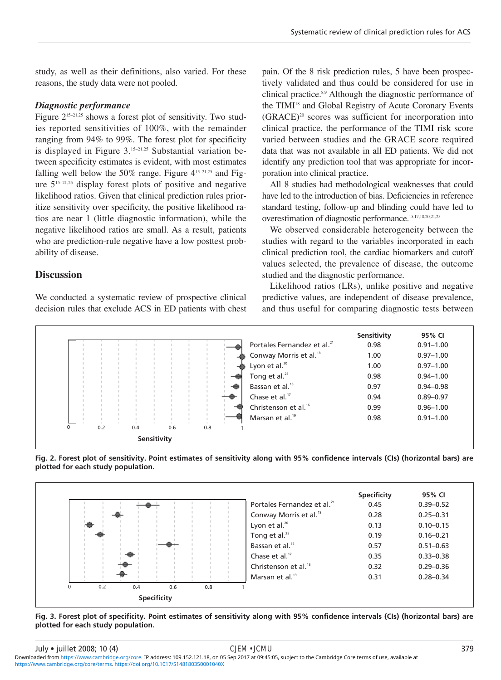study, as well as their definitions, also varied. For these reasons, the study data were not pooled.

# *Diagnostic performance*

Figure  $2^{15-21,25}$  shows a forest plot of sensitivity. Two studies reported sensitivities of 100%, with the remainder ranging from 94% to 99%. The forest plot for specificity is displayed in Figure  $3.15-21.25$  Substantial variation between specificity estimates is evident, with most estimates falling well below the 50% range. Figure  $4^{15-21,25}$  and Figure  $5^{15-21,25}$  display forest plots of positive and negative likelihood ratios. Given that clinical prediction rules prioritize sensitivity over specificity, the positive likelihood ratios are near 1 (little diagnostic information), while the negative likelihood ratios are small. As a result, patients who are prediction-rule negative have a low posttest probability of disease.

# **Discussion**

We conducted a systematic review of prospective clinical decision rules that exclude ACS in ED patients with chest

pain. Of the 8 risk prediction rules, 5 have been prospectively validated and thus could be considered for use in clinical practice.8,9 Although the diagnostic performance of the TIMI<sup>18</sup> and Global Registry of Acute Coronary Events  $(GRACE)^{20}$  scores was sufficient for incorporation into clinical practice, the performance of the TIMI risk score varied between studies and the GRACE score required data that was not available in all ED patients. We did not identify any prediction tool that was appropriate for incorporation into clinical practice.

All 8 studies had methodological weaknesses that could have led to the introduction of bias. Deficiencies in reference standard testing, follow-up and blinding could have led to overestimation of diagnostic performance.15,17,18,20,21,25

We observed considerable heterogeneity between the studies with regard to the variables incorporated in each clinical prediction tool, the cardiac biomarkers and cutoff values selected, the prevalence of disease, the outcome studied and the diagnostic performance.

Likelihood ratios (LRs), unlike positive and negative predictive values, are independent of disease prevalence, and thus useful for comparing diagnostic tests between

|   |     |     |             |     |     |                                         | Sensitivity | 95% CI        |
|---|-----|-----|-------------|-----|-----|-----------------------------------------|-------------|---------------|
|   |     |     |             |     |     | Portales Fernandez et al. <sup>21</sup> | 0.98        | $0.91 - 1.00$ |
|   |     |     |             |     |     | Conway Morris et al. <sup>18</sup>      | 1.00        | $0.97 - 1.00$ |
|   |     |     |             |     |     | Lyon et al. <sup>20</sup>               | 1.00        | $0.97 - 1.00$ |
|   |     |     |             |     |     | Tong et al. $25$                        | 0.98        | $0.94 - 1.00$ |
|   |     |     |             |     |     | Bassan et al. <sup>15</sup>             | 0.97        | $0.94 - 0.98$ |
|   |     |     |             |     |     | Chase et al. <sup>17</sup>              | 0.94        | $0.89 - 0.97$ |
|   |     |     |             |     |     | Christenson et al. <sup>16</sup>        | 0.99        | $0.96 - 1.00$ |
|   |     |     |             |     |     | Marsan et al. <sup>19</sup>             | 0.98        | $0.91 - 1.00$ |
| 0 | 0.2 | 0.4 |             | 0.6 | 0.8 |                                         |             |               |
|   |     |     | Sensitivity |     |     |                                         |             |               |





**Fig. 3. Forest plot of specificity. Point estimates of sensitivity along with 95% confidence intervals (CIs) (horizontal bars) are plotted for each study population.**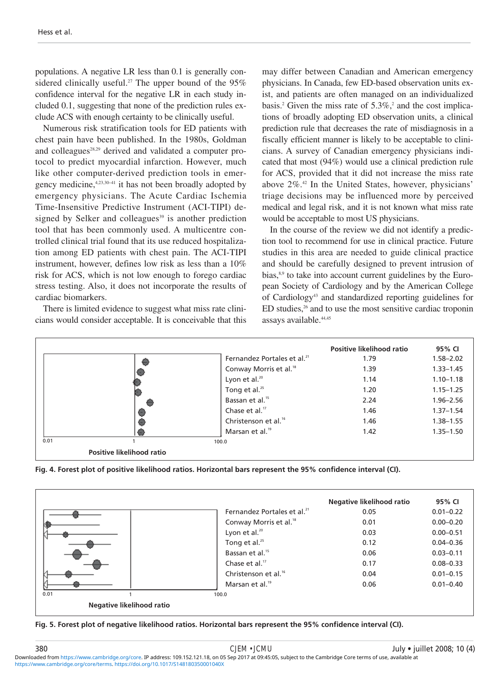populations. A negative LR less than 0.1 is generally considered clinically useful.<sup>27</sup> The upper bound of the  $95\%$ confidence interval for the negative LR in each study included 0.1, suggesting that none of the prediction rules exclude ACS with enough certainty to be clinically useful.

Numerous risk stratification tools for ED patients with chest pain have been published. In the 1980s, Goldman and colleagues<sup>28,29</sup> derived and validated a computer protocol to predict myocardial infarction. However, much like other computer-derived prediction tools in emergency medicine,  $4,23,30-41$  it has not been broadly adopted by emergency physicians. The Acute Cardiac Ischemia Time-Insensitive Predictive Instrument (ACI-TIPI) designed by Selker and colleagues<sup>39</sup> is another prediction tool that has been commonly used. A multicentre controlled clinical trial found that its use reduced hospitalization among ED patients with chest pain. The ACI-TIPI instrument, however, defines low risk as less than a 10% risk for ACS, which is not low enough to forego cardiac stress testing. Also, it does not incorporate the results of cardiac biomarkers.

There is limited evidence to suggest what miss rate clinicians would consider acceptable. It is conceivable that this may differ between Canadian and American emergency physicians. In Canada, few ED-based observation units exist, and patients are often managed on an individualized basis.<sup>2</sup> Given the miss rate of  $5.3\%$ ,<sup>2</sup> and the cost implications of broadly adopting ED observation units, a clinical prediction rule that decreases the rate of misdiagnosis in a fiscally efficient manner is likely to be acceptable to clinicians. A survey of Canadian emergency physicians indicated that most (94%) would use a clinical prediction rule for ACS, provided that it did not increase the miss rate above 2%.42 In the United States, however, physicians' triage decisions may be influenced more by perceived medical and legal risk, and it is not known what miss rate would be acceptable to most US physicians.

In the course of the review we did not identify a prediction tool to recommend for use in clinical practice. Future studies in this area are needed to guide clinical practice and should be carefully designed to prevent intrusion of bias, $8.9$  to take into account current guidelines by the European Society of Cardiology and by the American College of Cardiology43 and standardized reporting guidelines for ED studies,<sup>26</sup> and to use the most sensitive cardiac troponin assays available.<sup>44,45</sup>

|      |                           |                                         | Positive likelihood ratio | 95% CI        |
|------|---------------------------|-----------------------------------------|---------------------------|---------------|
|      |                           | Fernandez Portales et al. <sup>21</sup> | 1.79                      | $1.58 - 2.02$ |
|      |                           | Conway Morris et al. <sup>18</sup>      | 1.39                      | $1.33 - 1.45$ |
|      |                           | Lyon et al. <sup>20</sup>               | 1.14                      | $1.10 - 1.18$ |
|      |                           | Tong et al. <sup>25</sup>               | 1.20                      | $1.15 - 1.25$ |
|      |                           | Bassan et al. <sup>15</sup>             | 2.24                      | $1.96 - 2.56$ |
|      |                           | Chase et al. $17$                       | 1.46                      | $1.37 - 1.54$ |
|      |                           | Christenson et al. <sup>16</sup>        | 1.46                      | $1.38 - 1.55$ |
|      |                           | Marsan et al. <sup>19</sup>             | 1.42                      | $1.35 - 1.50$ |
| 0.01 |                           | 100.0                                   |                           |               |
|      | Positive likelihood ratio |                                         |                           |               |





**Fig. 5. Forest plot of negative likelihood ratios. Horizontal bars represent the 95% confidence interval (CI).**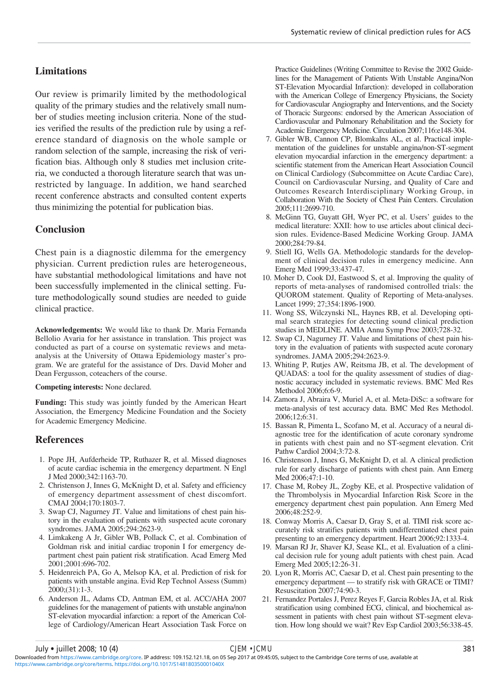# **Limitations**

Our review is primarily limited by the methodological quality of the primary studies and the relatively small number of studies meeting inclusion criteria. None of the studies verified the results of the prediction rule by using a reference standard of diagnosis on the whole sample or random selection of the sample, increasing the risk of verification bias. Although only 8 studies met inclusion criteria, we conducted a thorough literature search that was unrestricted by language. In addition, we hand searched recent conference abstracts and consulted content experts thus minimizing the potential for publication bias.

# **Conclusion**

Chest pain is a diagnostic dilemma for the emergency physician. Current prediction rules are heterogeneous, have substantial methodological limitations and have not been successfully implemented in the clinical setting. Future methodologically sound studies are needed to guide clinical practice.

**Acknowledgements:** We would like to thank Dr. Maria Fernanda Bellolio Avaria for her assistance in translation. This project was conducted as part of a course on systematic reviews and metaanalysis at the University of Ottawa Epidemiology master's program. We are grateful for the assistance of Drs. David Moher and Dean Fergusson, coteachers of the course.

#### **Competing interests:** None declared.

**Funding:** This study was jointly funded by the American Heart Association, the Emergency Medicine Foundation and the Society for Academic Emergency Medicine.

# **References**

- 1. Pope JH, Aufderheide TP, Ruthazer R, et al. Missed diagnoses of acute cardiac ischemia in the emergency department. N Engl J Med 2000;342:1163-70.
- 2. Christenson J, Innes G, McKnight D, et al. Safety and efficiency of emergency department assessment of chest discomfort. CMAJ 2004;170:1803-7.
- 3. Swap CJ, Nagurney JT. Value and limitations of chest pain history in the evaluation of patients with suspected acute coronary syndromes. JAMA 2005;294:2623-9.
- 4. Limkakeng A Jr, Gibler WB, Pollack C, et al. Combination of Goldman risk and initial cardiac troponin I for emergency department chest pain patient risk stratification. Acad Emerg Med 2001;2001:696-702.
- 5. Heidenreich PA, Go A, Melsop KA, et al. Prediction of risk for patients with unstable angina. Evid Rep Technol Assess (Summ) 2000;(31):1-3.
- 6. Anderson JL, Adams CD, Antman EM, et al. ACC/AHA 2007 guidelines for the management of patients with unstable angina/non ST-elevation myocardial infarction: a report of the American College of Cardiology/American Heart Association Task Force on

Practice Guidelines (Writing Committee to Revise the 2002 Guidelines for the Management of Patients With Unstable Angina/Non ST-Elevation Myocardial Infarction): developed in collaboration with the American College of Emergency Physicians, the Society for Cardiovascular Angiography and Interventions, and the Society of Thoracic Surgeons: endorsed by the American Association of Cardiovascular and Pulmonary Rehabilitation and the Society for Academic Emergency Medicine. Circulation 2007;116:e148-304.

- 7. Gibler WB, Cannon CP, Blomkalns AL, et al. Practical implementation of the guidelines for unstable angina/non-ST-segment elevation myocardial infarction in the emergency department: a scientific statement from the American Heart Association Council on Clinical Cardiology (Subcommittee on Acute Cardiac Care), Council on Cardiovascular Nursing, and Quality of Care and Outcomes Research Interdisciplinary Working Group, in Collaboration With the Society of Chest Pain Centers. Circulation 2005;111:2699-710.
- 8. McGinn TG, Guyatt GH, Wyer PC, et al. Users' guides to the medical literature: XXII: how to use articles about clinical decision rules. Evidence-Based Medicine Working Group. JAMA 2000;284:79-84.
- 9. Stiell IG, Wells GA. Methodologic standards for the development of clinical decision rules in emergency medicine. Ann Emerg Med 1999;33:437-47.
- 10. Moher D, Cook DJ, Eastwood S, et al. Improving the quality of reports of meta-analyses of randomised controlled trials: the QUOROM statement. Quality of Reporting of Meta-analyses. Lancet 1999; 27;354:1896-1900.
- 11. Wong SS, Wilczynski NL, Haynes RB, et al. Developing optimal search strategies for detecting sound clinical prediction studies in MEDLINE. AMIA Annu Symp Proc 2003;728-32.
- 12. Swap CJ, Nagurney JT. Value and limitations of chest pain history in the evaluation of patients with suspected acute coronary syndromes. JAMA 2005;294:2623-9.
- 13. Whiting P, Rutjes AW, Reitsma JB, et al. The development of QUADAS: a tool for the quality assessment of studies of diagnostic accuracy included in systematic reviews. BMC Med Res Methodol 2006;6:6-9.
- 14. Zamora J, Abraira V, Muriel A, et al. Meta-DiSc: a software for meta-analysis of test accuracy data. BMC Med Res Methodol. 2006;12;6:31.
- 15. Bassan R, Pimenta L, Scofano M, et al. Accuracy of a neural diagnostic tree for the identification of acute coronary syndrome in patients with chest pain and no ST-segment elevation. Crit Pathw Cardiol 2004;3:72-8.
- 16. Christenson J, Innes G, McKnight D, et al. A clinical prediction rule for early discharge of patients with chest pain. Ann Emerg Med 2006;47:1-10.
- 17. Chase M, Robey JL, Zogby KE, et al. Prospective validation of the Thrombolysis in Myocardial Infarction Risk Score in the emergency department chest pain population. Ann Emerg Med 2006;48:252-9.
- 18. Conway Morris A, Caesar D, Gray S, et al. TIMI risk score accurately risk stratifies patients with undifferentiated chest pain presenting to an emergency department. Heart 2006;92:1333-4.
- 19. Marsan RJ Jr, Shaver KJ, Sease KL, et al. Evaluation of a clinical decision rule for young adult patients with chest pain. Acad Emerg Med 2005;12:26-31.
- 20. Lyon R, Morris AC, Caesar D, et al. Chest pain presenting to the emergency department — to stratify risk with GRACE or TIMI? Resuscitation 2007;74:90-3.
- 21. Fernandez Portales J, Perez Reyes F, Garcia Robles JA, et al. Risk stratification using combined ECG, clinical, and biochemical assessment in patients with chest pain without ST-segment elevation. How long should we wait? Rev Esp Cardiol 2003;56:338-45.